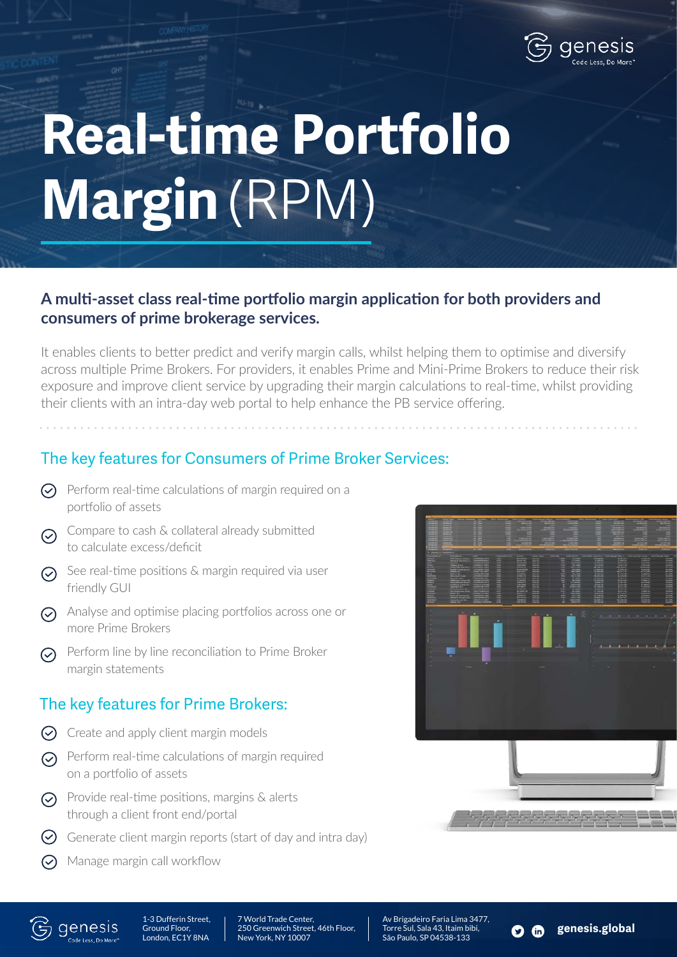

# **Real-time Portfolio Margin** (RPM)

#### **A multi-asset class real-time portfolio margin application for both providers and consumers of prime brokerage services.**

It enables clients to better predict and verify margin calls, whilst helping them to optimise and diversify across multiple Prime Brokers. For providers, it enables Prime and Mini-Prime Brokers to reduce their risk exposure and improve client service by upgrading their margin calculations to real-time, whilst providing their clients with an intra-day web portal to help enhance the PB service offering.

## The key features for Consumers of Prime Broker Services:

- $\odot$  Perform real-time calculations of margin required on a portfolio of assets
- Compare to cash & collateral already submitted  $\odot$ to calculate excess/deficit
- $\odot$  See real-time positions & margin required via user friendly GUI
- Analyse and optimise placing portfolios across one or more Prime Brokers
- $\odot$  Perform line by line reconciliation to Prime Broker margin statements

#### The key features for Prime Brokers:

- $\odot$  Create and apply client margin models
- $\odot$  Perform real-time calculations of margin required on a portfolio of assets
- $\odot$  Provide real-time positions, margins & alerts through a client front end/portal
- $\heartsuit$  Generate client margin reports (start of day and intra day)
- $\odot$  Manage margin call workflow





1-3 Dufferin Street, Ground Floor, London, EC1Y 8NA

7 World Trade Center, 250 Greenwich Street, 46th Floor, New York, NY 10007

Av Brigadeiro Faria Lima 3477, Torre Sul, Sala 43, Itaim bibi, São Paulo, SP 04538-133